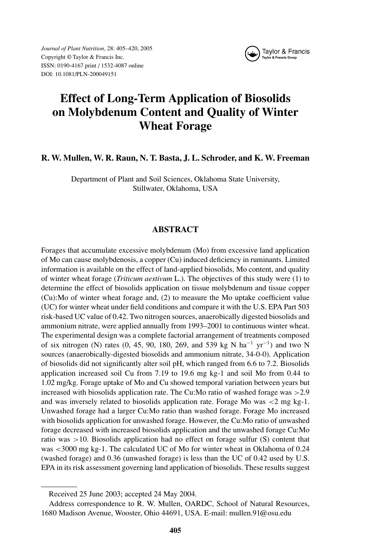*Journal of Plant Nutrition*, 28: 405–420, 2005 Copyright © Taylor & Francis Inc. ISSN: 0190-4167 print / 1532-4087 online DOI: 10.1081/PLN-200049151



# **Effect of Long-Term Application of Biosolids on Molybdenum Content and Quality of Winter Wheat Forage**

## **R. W. Mullen, W. R. Raun, N. T. Basta, J. L. Schroder, and K. W. Freeman**

Department of Plant and Soil Sciences, Oklahoma State University, Stillwater, Oklahoma, USA

## **ABSTRACT**

Forages that accumulate excessive molybdenum (Mo) from excessive land application of Mo can cause molybdenosis, a copper (Cu) induced deficiency in ruminants. Limited information is available on the effect of land-applied biosolids, Mo content, and quality of winter wheat forage (*Triticum aestivum* L.). The objectives of this study were (1) to determine the effect of biosolids application on tissue molybdenum and tissue copper (Cu):Mo of winter wheat forage and, (2) to measure the Mo uptake coefficient value (UC) for winter wheat under field conditions and compare it with the U.S. EPA Part 503 risk-based UC value of 0.42. Two nitrogen sources, anaerobically digested biosolids and ammonium nitrate, were applied annually from 1993–2001 to continuous winter wheat. The experimental design was a complete factorial arrangement of treatments composed of six nitrogen (N) rates (0, 45, 90, 180, 269, and 539 kg N ha<sup>-1</sup> yr<sup>-1</sup>) and two N sources (anaerobically-digested biosolids and ammonium nitrate, 34-0-0). Application of biosolids did not significantly alter soil pH, which ranged from 6.6 to 7.2. Biosolids application increased soil Cu from 7.19 to 19.6 mg kg-1 and soil Mo from 0.44 to 1.02 mg/kg. Forage uptake of Mo and Cu showed temporal variation between years but increased with biosolids application rate. The Cu:Mo ratio of washed forage was >2.9 and was inversely related to biosolids application rate. Forage Mo was <2 mg kg-1. Unwashed forage had a larger Cu:Mo ratio than washed forage. Forage Mo increased with biosolids application for unwashed forage. However, the Cu:Mo ratio of unwashed forage decreased with increased biosolids application and the unwashed forage Cu:Mo ratio was >10. Biosolids application had no effect on forage sulfur (S) content that was <3000 mg kg-1. The calculated UC of Mo for winter wheat in Oklahoma of 0.24 (washed forage) and 0.36 (unwashed forage) is less than the UC of 0.42 used by U.S. EPA in its risk assessment governing land application of biosolids. These results suggest

Received 25 June 2003; accepted 24 May 2004.

Address correspondence to R. W. Mullen, OARDC, School of Natural Resources, 1680 Madison Avenue, Wooster, Ohio 44691, USA. E-mail: mullen.91@osu.edu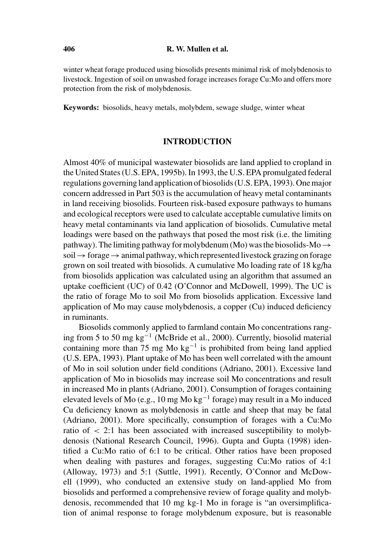winter wheat forage produced using biosolids presents minimal risk of molybdenosis to livestock. Ingestion of soil on unwashed forage increases forage Cu:Mo and offers more protection from the risk of molybdenosis.

**Keywords:** biosolids, heavy metals, molybdem, sewage sludge, winter wheat

## **INTRODUCTION**

Almost 40% of municipal wastewater biosolids are land applied to cropland in the United States (U.S. EPA, 1995b). In 1993, the U.S. EPA promulgated federal regulations governing land application of biosolids (U.S. EPA, 1993). One major concern addressed in Part 503 is the accumulation of heavy metal contaminants in land receiving biosolids. Fourteen risk-based exposure pathways to humans and ecological receptors were used to calculate acceptable cumulative limits on heavy metal contaminants via land application of biosolids. Cumulative metal loadings were based on the pathways that posed the most risk (i.e. the limiting pathway). The limiting pathway for molybdenum (Mo) was the biosolids-Mo  $\rightarrow$ soil → forage → animal pathway, which represented livestock grazing on forage grown on soil treated with biosolids. A cumulative Mo loading rate of 18 kg/ha from biosolids application was calculated using an algorithm that assumed an uptake coefficient (UC) of 0.42 (O'Connor and McDowell, 1999). The UC is the ratio of forage Mo to soil Mo from biosolids application. Excessive land application of Mo may cause molybdenosis, a copper (Cu) induced deficiency in ruminants.

Biosolids commonly applied to farmland contain Mo concentrations ranging from 5 to 50 mg kg−<sup>1</sup> (McBride et al., 2000). Currently, biosolid material containing more than 75 mg Mo kg<sup>-1</sup> is prohibited from being land applied (U.S. EPA, 1993). Plant uptake of Mo has been well correlated with the amount of Mo in soil solution under field conditions (Adriano, 2001). Excessive land application of Mo in biosolids may increase soil Mo concentrations and result in increased Mo in plants (Adriano, 2001). Consumption of forages containing elevated levels of Mo (e.g., 10 mg Mo kg<sup>-1</sup> forage) may result in a Mo induced Cu deficiency known as molybdenosis in cattle and sheep that may be fatal (Adriano, 2001). More specifically, consumption of forages with a Cu:Mo ratio of  $\langle 2:1 \rangle$  has been associated with increased susceptibility to molybdenosis (National Research Council, 1996). Gupta and Gupta (1998) identified a Cu:Mo ratio of 6:1 to be critical. Other ratios have been proposed when dealing with pastures and forages, suggesting Cu:Mo ratios of 4:1 (Alloway, 1973) and 5:1 (Suttle, 1991). Recently, O'Connor and McDowell (1999), who conducted an extensive study on land-applied Mo from biosolids and performed a comprehensive review of forage quality and molybdenosis, recommended that 10 mg kg-1 Mo in forage is "an oversimplification of animal response to forage molybdenum exposure, but is reasonable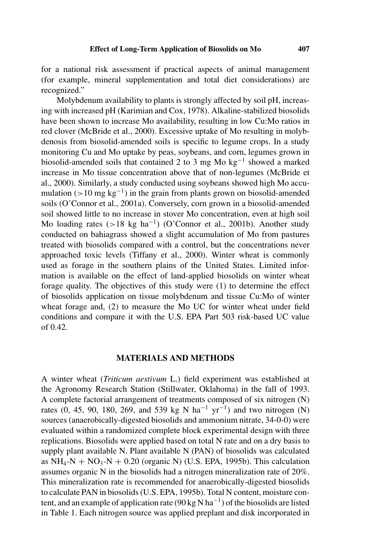for a national risk assessment if practical aspects of animal management (for example, mineral supplementation and total diet considerations) are recognized."

Molybdenum availability to plants is strongly affected by soil pH, increasing with increased pH (Karimian and Cox, 1978). Alkaline-stabilized biosolids have been shown to increase Mo availability, resulting in low Cu:Mo ratios in red clover (McBride et al., 2000). Excessive uptake of Mo resulting in molybdenosis from biosolid-amended soils is specific to legume crops. In a study monitoring Cu and Mo uptake by peas, soybeans, and corn, legumes grown in biosolid-amended soils that contained 2 to 3 mg Mo  $kg^{-1}$  showed a marked increase in Mo tissue concentration above that of non-legumes (McBride et al., 2000). Similarly, a study conducted using soybeans showed high Mo accumulation (>10 mg kg<sup>-1</sup>) in the grain from plants grown on biosolid-amended soils (O'Connor et al., 2001a). Conversely, corn grown in a biosolid-amended soil showed little to no increase in stover Mo concentration, even at high soil Mo loading rates (>18 kg ha−1) (O'Connor et al., 2001b). Another study conducted on bahiagrass showed a slight accumulation of Mo from pastures treated with biosolids compared with a control, but the concentrations never approached toxic levels (Tiffany et al., 2000). Winter wheat is commonly used as forage in the southern plains of the United States. Limited information is available on the effect of land-applied biosolids on winter wheat forage quality. The objectives of this study were (1) to determine the effect of biosolids application on tissue molybdenum and tissue Cu:Mo of winter wheat forage and, (2) to measure the Mo UC for winter wheat under field conditions and compare it with the U.S. EPA Part 503 risk-based UC value of 0.42.

## **MATERIALS AND METHODS**

A winter wheat (*Triticum aestivum* L.) field experiment was established at the Agronomy Research Station (Stillwater, Oklahoma) in the fall of 1993. A complete factorial arrangement of treatments composed of six nitrogen (N) rates (0, 45, 90, 180, 269, and 539 kg N ha<sup>-1</sup> yr<sup>-1</sup>) and two nitrogen (N) sources (anaerobically-digested biosolids and ammonium nitrate, 34-0-0) were evaluated within a randomized complete block experimental design with three replications. Biosolids were applied based on total N rate and on a dry basis to supply plant available N. Plant available N (PAN) of biosolids was calculated as  $NH_4-N + NO_3-N + 0.20$  (organic N) (U.S. EPA, 1995b). This calculation assumes organic N in the biosolids had a nitrogen mineralization rate of 20%. This mineralization rate is recommended for anaerobically-digested biosolids to calculate PAN in biosolids (U.S. EPA, 1995b). Total N content, moisture content, and an example of application rate (90 kg N ha<sup>-1</sup>) of the biosolids are listed in Table 1. Each nitrogen source was applied preplant and disk incorporated in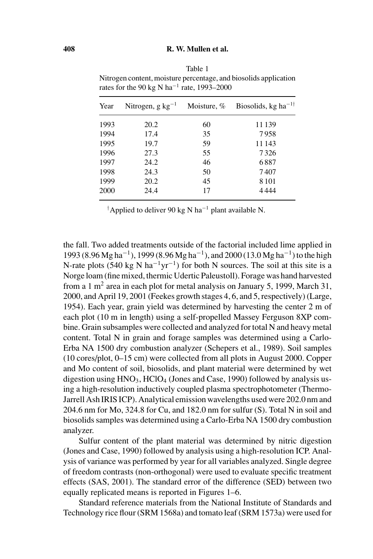| Year | Nitrogen, g $kg^{-1}$ | Moisture, % | Biosolids, kg ha <sup>-1†</sup> |
|------|-----------------------|-------------|---------------------------------|
| 1993 | 20.2                  | 60          | 11 139                          |
| 1994 | 17.4                  | 35          | 7958                            |
| 1995 | 19.7                  | 59          | 11 143                          |
| 1996 | 27.3                  | 55          | 7326                            |
| 1997 | 24.2                  | 46          | 6887                            |
| 1998 | 24.3                  | 50          | 7407                            |
| 1999 | 20.2                  | 45          | 8 1 0 1                         |
| 2000 | 24.4                  | 17          | 4444                            |

Table 1 Nitrogen content, moisture percentage, and biosolids application rates for the 90 kg N ha<sup>-1</sup> rate, 1993–2000

† Applied to deliver 90 kg N ha−<sup>1</sup> plant available N.

the fall. Two added treatments outside of the factorial included lime applied in 1993 (8.96 Mg ha−1), 1999 (8.96 Mg ha−1), and 2000 (13.0 Mg ha−1) to the high N-rate plots (540 kg N ha<sup>-1</sup>yr<sup>-1</sup>) for both N sources. The soil at this site is a Norge loam (fine mixed, thermic Udertic Paleustoll). Forage was hand harvested from a 1 m<sup>2</sup> area in each plot for metal analysis on January 5, 1999, March 31, 2000, and April 19, 2001 (Feekes growth stages 4, 6, and 5, respectively) (Large, 1954). Each year, grain yield was determined by harvesting the center 2 m of each plot (10 m in length) using a self-propelled Massey Ferguson 8XP combine. Grain subsamples were collected and analyzed for total N and heavy metal content. Total N in grain and forage samples was determined using a Carlo-Erba NA 1500 dry combustion analyzer (Schepers et al., 1989). Soil samples (10 cores/plot, 0–15 cm) were collected from all plots in August 2000. Copper and Mo content of soil, biosolids, and plant material were determined by wet digestion using  $HNO<sub>3</sub>$ ,  $HClO<sub>4</sub>$  (Jones and Case, 1990) followed by analysis using a high-resolution inductively coupled plasma spectrophotometer (Thermo-Jarrell Ash IRIS ICP). Analytical emission wavelengths used were 202.0 nm and 204.6 nm for Mo, 324.8 for Cu, and 182.0 nm for sulfur (S). Total N in soil and biosolids samples was determined using a Carlo-Erba NA 1500 dry combustion analyzer.

Sulfur content of the plant material was determined by nitric digestion (Jones and Case, 1990) followed by analysis using a high-resolution ICP. Analysis of variance was performed by year for all variables analyzed. Single degree of freedom contrasts (non-orthogonal) were used to evaluate specific treatment effects (SAS, 2001). The standard error of the difference (SED) between two equally replicated means is reported in Figures 1–6.

Standard reference materials from the National Institute of Standards and Technology rice flour (SRM 1568a) and tomato leaf (SRM 1573a) were used for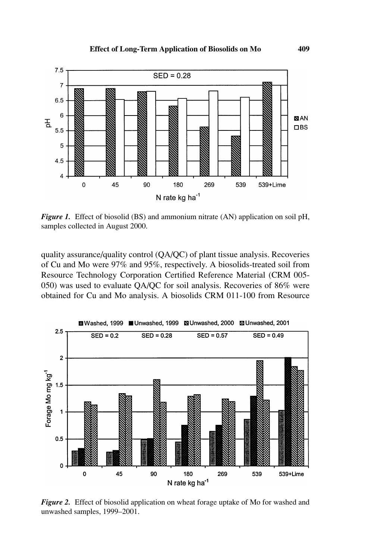

*Figure 1.* Effect of biosolid (BS) and ammonium nitrate (AN) application on soil pH, samples collected in August 2000.

quality assurance/quality control (QA/QC) of plant tissue analysis. Recoveries of Cu and Mo were 97% and 95%, respectively. A biosolids-treated soil from Resource Technology Corporation Certified Reference Material (CRM 005- 050) was used to evaluate QA/QC for soil analysis. Recoveries of 86% were obtained for Cu and Mo analysis. A biosolids CRM 011-100 from Resource



*Figure 2.* Effect of biosolid application on wheat forage uptake of Mo for washed and unwashed samples, 1999–2001.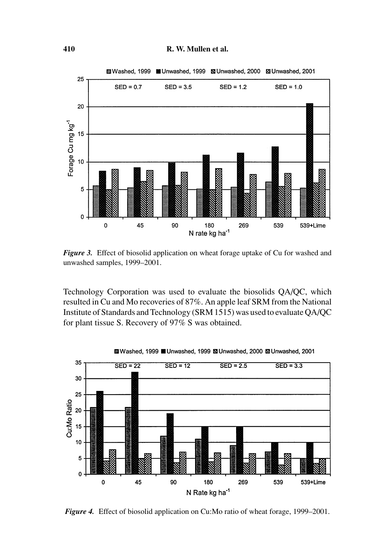

*Figure 3.* Effect of biosolid application on wheat forage uptake of Cu for washed and unwashed samples, 1999–2001.

Technology Corporation was used to evaluate the biosolids QA/QC, which resulted in Cu and Mo recoveries of 87%. An apple leaf SRM from the National Institute of Standards and Technology (SRM 1515) was used to evaluate QA/QC for plant tissue S. Recovery of 97% S was obtained.



■ Washed, 1999 ■ Unwashed, 1999 ■ Unwashed, 2000 ■ Unwashed, 2001

*Figure 4.* Effect of biosolid application on Cu:Mo ratio of wheat forage, 1999–2001.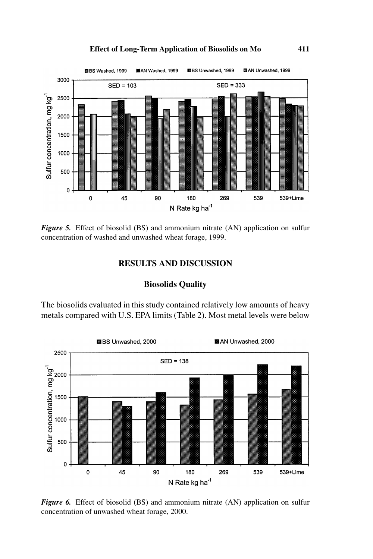## **Effect of Long-Term Application of Biosolids on Mo 411**



*Figure 5.* Effect of biosolid (BS) and ammonium nitrate (AN) application on sulfur concentration of washed and unwashed wheat forage, 1999.

# **RESULTS AND DISCUSSION**

## **Biosolids Quality**

The biosolids evaluated in this study contained relatively low amounts of heavy metals compared with U.S. EPA limits (Table 2). Most metal levels were below



*Figure 6.* Effect of biosolid (BS) and ammonium nitrate (AN) application on sulfur concentration of unwashed wheat forage, 2000.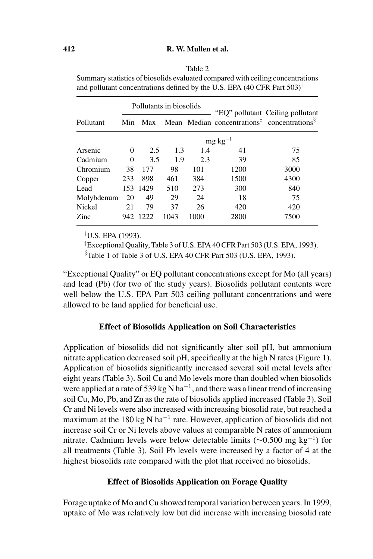| ıe |  |
|----|--|
|    |  |

Summary statistics of biosolids evaluated compared with ceiling concentrations and pollutant concentrations defined by the U.S. EPA (40 CFR Part 503)<sup>†</sup>

|            |                 | Pollutants in biosolids |      |      |      | "EQ" pollutant Ceiling pollutant<br>Mean Median concentrations <sup><math>\ddagger</math></sup> concentrations <sup>§</sup> |  |  |  |  |
|------------|-----------------|-------------------------|------|------|------|-----------------------------------------------------------------------------------------------------------------------------|--|--|--|--|
| Pollutant  | Min             | Max                     |      |      |      |                                                                                                                             |  |  |  |  |
|            | $mg \, kg^{-1}$ |                         |      |      |      |                                                                                                                             |  |  |  |  |
| Arsenic    | 0               | 2.5                     | 1.3  | 1.4  | 41   | 75                                                                                                                          |  |  |  |  |
| Cadmium    | $\Omega$        | 3.5                     | 1.9  | 2.3  | 39   | 85                                                                                                                          |  |  |  |  |
| Chromium   | 38              | 177                     | 98   | 101  | 1200 | 3000                                                                                                                        |  |  |  |  |
| Copper     | 233             | 898                     | 461  | 384  | 1500 | 4300                                                                                                                        |  |  |  |  |
| Lead       |                 | 153 1429                | 510  | 273  | 300  | 840                                                                                                                         |  |  |  |  |
| Molybdenum | 20              | 49                      | 29   | 24   | 18   | 75                                                                                                                          |  |  |  |  |
| Nickel     | 21              | 79                      | 37   | 26   | 420  | 420                                                                                                                         |  |  |  |  |
| Zinc       | 942             | 1222                    | 1043 | 1000 | 2800 | 7500                                                                                                                        |  |  |  |  |

† U.S. EPA (1993).

‡ Exceptional Quality, Table 3 of U.S. EPA 40 CFR Part 503 (U.S. EPA, 1993).

§ Table 1 of Table 3 of U.S. EPA 40 CFR Part 503 (U.S. EPA, 1993).

"Exceptional Quality" or EQ pollutant concentrations except for Mo (all years) and lead (Pb) (for two of the study years). Biosolids pollutant contents were well below the U.S. EPA Part 503 ceiling pollutant concentrations and were allowed to be land applied for beneficial use.

## **Effect of Biosolids Application on Soil Characteristics**

Application of biosolids did not significantly alter soil pH, but ammonium nitrate application decreased soil pH, specifically at the high N rates (Figure 1). Application of biosolids significantly increased several soil metal levels after eight years (Table 3). Soil Cu and Mo levels more than doubled when biosolids were applied at a rate of 539 kg N ha<sup>-1</sup>, and there was a linear trend of increasing soil Cu, Mo, Pb, and Zn as the rate of biosolids applied increased (Table 3). Soil Cr and Ni levels were also increased with increasing biosolid rate, but reached a maximum at the 180 kg N ha<sup> $-1$ </sup> rate. However, application of biosolids did not increase soil Cr or Ni levels above values at comparable N rates of ammonium nitrate. Cadmium levels were below detectable limits ( $\sim$ 0.500 mg kg<sup>-1</sup>) for all treatments (Table 3). Soil Pb levels were increased by a factor of 4 at the highest biosolids rate compared with the plot that received no biosolids.

## **Effect of Biosolids Application on Forage Quality**

Forage uptake of Mo and Cu showed temporal variation between years. In 1999, uptake of Mo was relatively low but did increase with increasing biosolid rate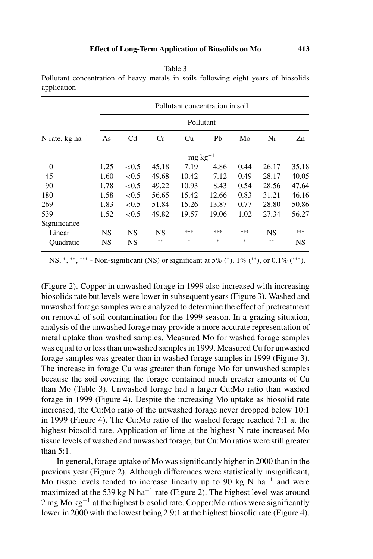|                             |                 | Pollutant concentration in soil<br>Pollutant |           |       |       |      |           |       |  |  |  |
|-----------------------------|-----------------|----------------------------------------------|-----------|-------|-------|------|-----------|-------|--|--|--|
|                             |                 |                                              |           |       |       |      |           |       |  |  |  |
| N rate, kg ha <sup>-1</sup> | As              | C <sub>d</sub>                               | Cr        | Cu    | Pb    | Mo   | Ni        | Zn    |  |  |  |
|                             | $mg \, kg^{-1}$ |                                              |           |       |       |      |           |       |  |  |  |
| $\boldsymbol{0}$            | 1.25            | ${<}0.5$                                     | 45.18     | 7.19  | 4.86  | 0.44 | 26.17     | 35.18 |  |  |  |
| 45                          | 1.60            | ${<}0.5$                                     | 49.68     | 10.42 | 7.12  | 0.49 | 28.17     | 40.05 |  |  |  |
| 90                          | 1.78            | ${<}0.5$                                     | 49.22     | 10.93 | 8.43  | 0.54 | 28.56     | 47.64 |  |  |  |
| 180                         | 1.58            | ${<}0.5$                                     | 56.65     | 15.42 | 12.66 | 0.83 | 31.21     | 46.16 |  |  |  |
| 269                         | 1.83            | ${<}0.5$                                     | 51.84     | 15.26 | 13.87 | 0.77 | 28.80     | 50.86 |  |  |  |
| 539                         | 1.52            | ${<}0.5$                                     | 49.82     | 19.57 | 19.06 | 1.02 | 27.34     | 56.27 |  |  |  |
| Significance                |                 |                                              |           |       |       |      |           |       |  |  |  |
| Linear                      | <b>NS</b>       | <b>NS</b>                                    | <b>NS</b> | ***   | ***   | ***  | <b>NS</b> | ***   |  |  |  |
| Ouadratic                   | <b>NS</b>       | <b>NS</b>                                    | **        | *     | *     | $*$  | $**$      | NS    |  |  |  |

Table 3 Pollutant concentration of heavy metals in soils following eight years of biosolids

application

NS,  $*$ ,  $**$ ,  $***$  - Non-significant (NS) or significant at 5% (\*), 1% (\*\*), or 0.1% (\*\*\*).

(Figure 2). Copper in unwashed forage in 1999 also increased with increasing biosolids rate but levels were lower in subsequent years (Figure 3). Washed and unwashed forage samples were analyzed to determine the effect of pretreatment on removal of soil contamination for the 1999 season. In a grazing situation, analysis of the unwashed forage may provide a more accurate representation of metal uptake than washed samples. Measured Mo for washed forage samples was equal to or less than unwashed samples in 1999. Measured Cu for unwashed forage samples was greater than in washed forage samples in 1999 (Figure 3). The increase in forage Cu was greater than forage Mo for unwashed samples because the soil covering the forage contained much greater amounts of Cu than Mo (Table 3). Unwashed forage had a larger Cu:Mo ratio than washed forage in 1999 (Figure 4). Despite the increasing Mo uptake as biosolid rate increased, the Cu:Mo ratio of the unwashed forage never dropped below 10:1 in 1999 (Figure 4). The Cu:Mo ratio of the washed forage reached 7:1 at the highest biosolid rate. Application of lime at the highest N rate increased Mo tissue levels of washed and unwashed forage, but Cu:Mo ratios were still greater than 5:1.

In general, forage uptake of Mo was significantly higher in 2000 than in the previous year (Figure 2). Although differences were statistically insignificant, Mo tissue levels tended to increase linearly up to 90 kg N ha<sup>-1</sup> and were maximized at the 539 kg N ha<sup>-1</sup> rate (Figure 2). The highest level was around 2 mg Mo kg<sup>-1</sup> at the highest biosolid rate. Copper:Mo ratios were significantly lower in 2000 with the lowest being 2.9:1 at the highest biosolid rate (Figure 4).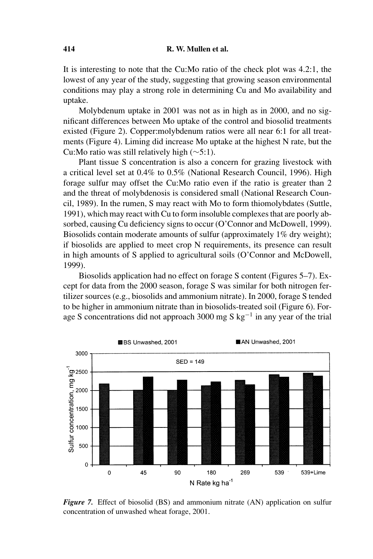It is interesting to note that the Cu:Mo ratio of the check plot was 4.2:1, the lowest of any year of the study, suggesting that growing season environmental conditions may play a strong role in determining Cu and Mo availability and uptake.

Molybdenum uptake in 2001 was not as in high as in 2000, and no significant differences between Mo uptake of the control and biosolid treatments existed (Figure 2). Copper:molybdenum ratios were all near 6:1 for all treatments (Figure 4). Liming did increase Mo uptake at the highest N rate, but the Cu:Mo ratio was still relatively high (∼5:1).

Plant tissue S concentration is also a concern for grazing livestock with a critical level set at 0.4% to 0.5% (National Research Council, 1996). High forage sulfur may offset the Cu:Mo ratio even if the ratio is greater than 2 and the threat of molybdenosis is considered small (National Research Council, 1989). In the rumen, S may react with Mo to form thiomolybdates (Suttle, 1991), which may react with Cu to form insoluble complexes that are poorly absorbed, causing Cu deficiency signs to occur (O'Connor and McDowell, 1999). Biosolids contain moderate amounts of sulfur (approximately 1% dry weight); if biosolids are applied to meet crop N requirements, its presence can result in high amounts of S applied to agricultural soils (O'Connor and McDowell, 1999).

Biosolids application had no effect on forage S content (Figures 5–7). Except for data from the 2000 season, forage S was similar for both nitrogen fertilizer sources (e.g., biosolids and ammonium nitrate). In 2000, forage S tended to be higher in ammonium nitrate than in biosolids-treated soil (Figure 6). Forage S concentrations did not approach 3000 mg S kg−<sup>1</sup> in any year of the trial



*Figure 7.* Effect of biosolid (BS) and ammonium nitrate (AN) application on sulfur concentration of unwashed wheat forage, 2001.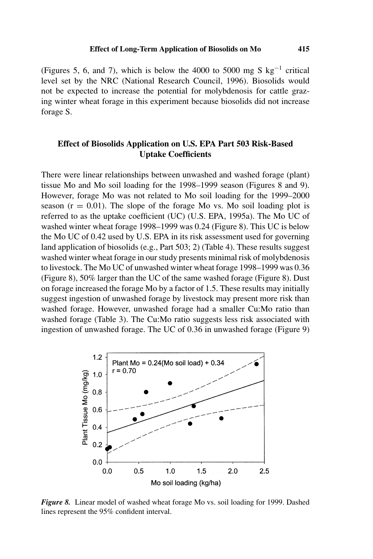(Figures 5, 6, and 7), which is below the 4000 to 5000 mg S kg<sup>-1</sup> critical level set by the NRC (National Research Council, 1996). Biosolids would not be expected to increase the potential for molybdenosis for cattle grazing winter wheat forage in this experiment because biosolids did not increase forage S.

# **Effect of Biosolids Application on U.S. EPA Part 503 Risk-Based Uptake Coefficients**

There were linear relationships between unwashed and washed forage (plant) tissue Mo and Mo soil loading for the 1998–1999 season (Figures 8 and 9). However, forage Mo was not related to Mo soil loading for the 1999–2000 season  $(r = 0.01)$ . The slope of the forage Mo vs. Mo soil loading plot is referred to as the uptake coefficient (UC) (U.S. EPA, 1995a). The Mo UC of washed winter wheat forage 1998–1999 was 0.24 (Figure 8). This UC is below the Mo UC of 0.42 used by U.S. EPA in its risk assessment used for governing land application of biosolids (e.g., Part 503; 2) (Table 4). These results suggest washed winter wheat forage in our study presents minimal risk of molybdenosis to livestock. The Mo UC of unwashed winter wheat forage 1998–1999 was 0.36 (Figure 8), 50% larger than the UC of the same washed forage (Figure 8). Dust on forage increased the forage Mo by a factor of 1.5. These results may initially suggest ingestion of unwashed forage by livestock may present more risk than washed forage. However, unwashed forage had a smaller Cu:Mo ratio than washed forage (Table 3). The Cu:Mo ratio suggests less risk associated with ingestion of unwashed forage. The UC of 0.36 in unwashed forage (Figure 9)



*Figure 8.* Linear model of washed wheat forage Mo vs. soil loading for 1999. Dashed lines represent the 95% confident interval.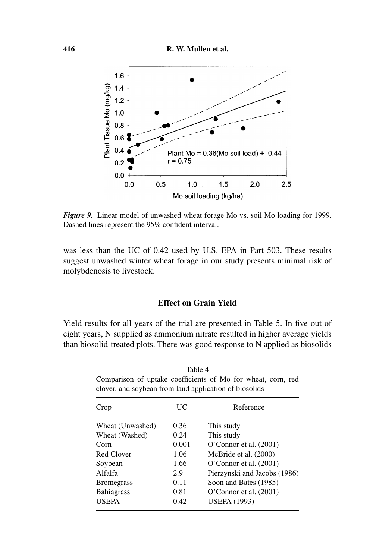

*Figure 9.* Linear model of unwashed wheat forage Mo vs. soil Mo loading for 1999. Dashed lines represent the 95% confident interval.

was less than the UC of 0.42 used by U.S. EPA in Part 503. These results suggest unwashed winter wheat forage in our study presents minimal risk of molybdenosis to livestock.

## **Effect on Grain Yield**

Yield results for all years of the trial are presented in Table 5. In five out of eight years, N supplied as ammonium nitrate resulted in higher average yields than biosolid-treated plots. There was good response to N applied as biosolids

Crop UC Reference Wheat (Unwashed) 0.36 This study Wheat (Washed)  $0.24$  This study Corn 0.001 O'Connor et al. (2001) Red Clover 1.06 McBride et al. (2000) Soybean 1.66 O'Connor et al. (2001) Alfalfa 2.9 Pierzynski and Jacobs (1986) Bromegrass 0.11 Soon and Bates (1985) Bahiagrass 0.81 O'Connor et al. (2001) USEPA 0.42 USEPA (1993)

Table 4 Comparison of uptake coefficients of Mo for wheat, corn, red clover, and soybean from land application of biosolids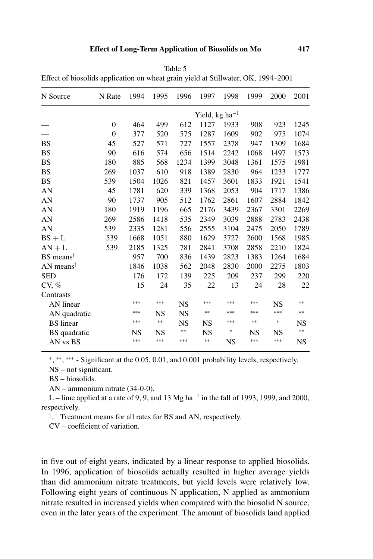| Effect of biosonus application on wheat grain yield at stiffwatch, OK, 1994–2001 |                |                             |            |           |      |           |       |      |            |
|----------------------------------------------------------------------------------|----------------|-----------------------------|------------|-----------|------|-----------|-------|------|------------|
| N Source                                                                         | N Rate         | 1994                        | 1995       | 1996      | 1997 | 1998      | 1999  | 2000 | 2001       |
|                                                                                  |                | Yield, $kg \text{ ha}^{-1}$ |            |           |      |           |       |      |            |
|                                                                                  | $\overline{0}$ | 464                         | 499        | 612       | 1127 | 1933      | 908   | 923  | 1245       |
|                                                                                  | $\overline{0}$ | 377                         | 520        | 575       | 1287 | 1609      | 902   | 975  | 1074       |
| BS                                                                               | 45             | 527                         | 571        | 727       | 1557 | 2378      | 947   | 1309 | 1684       |
| BS                                                                               | 90             | 616                         | 574        | 656       | 1514 | 2242      | 1068  | 1497 | 1573       |
| <b>BS</b>                                                                        | 180            | 885                         | 568        | 1234      | 1399 | 3048      | 1361  | 1575 | 1981       |
| BS                                                                               | 269            | 1037                        | 610        | 918       | 1389 | 2830      | 964   | 1233 | 1777       |
| <b>BS</b>                                                                        | 539            | 1504                        | 1026       | 821       | 1457 | 3601      | 1833  | 1921 | 1541       |
| AN                                                                               | 45             | 1781                        | 620        | 339       | 1368 | 2053      | 904   | 1717 | 1386       |
| AN                                                                               | 90             | 1737                        | 905        | 512       | 1762 | 2861      | 1607  | 2884 | 1842       |
| AN                                                                               | 180            | 1919                        | 1196       | 665       | 2176 | 3439      | 2367  | 3301 | 2269       |
| AN                                                                               | 269            | 2586                        | 1418       | 535       | 2349 | 3039      | 2888  | 2783 | 2438       |
| AN                                                                               | 539            | 2335                        | 1281       | 556       | 2555 | 3104      | 2475  | 2050 | 1789       |
| $BS + L$                                                                         | 539            | 1668                        | 1051       | 880       | 1629 | 3727      | 2600  | 1568 | 1985       |
| $AN + L$                                                                         | 539            | 2185                        | 1325       | 781       | 2841 | 3708      | 2858  | 2210 | 1824       |
| $BS$ means <sup><math>†</math></sup>                                             |                | 957                         | 700        | 836       | 1439 | 2823      | 1383  | 1264 | 1684       |
| AN means <sup><math>\ddagger</math></sup>                                        |                | 1846                        | 1038       | 562       | 2048 | 2830      | 2000  | 2275 | 1803       |
| <b>SED</b>                                                                       |                | 176                         | 172        | 139       | 225  | 209       | 237   | 299  | 220        |
| CV, %                                                                            |                | 15                          | 24         | 35        | 22   | 13        | 24    | 28   | 22         |
| Contrasts                                                                        |                |                             |            |           |      |           |       |      |            |
| AN linear                                                                        |                | ***                         | ***        | NS        | ***  | ***       | ***   | NS   | **         |
| AN quadratic                                                                     |                | ***                         | NS         | <b>NS</b> | $**$ | ***       | ***   | ***  | $\ast\ast$ |
| <b>BS</b> linear                                                                 |                | ***                         | $\ast\ast$ | NS        | NS   | ***       | $***$ | *    | NS         |
| BS quadratic                                                                     |                | NS                          | NS         | **        | NS   | *         | NS    | NS   | $\ast\ast$ |
| AN vs BS                                                                         |                | ***                         | ***        | ***       | $**$ | <b>NS</b> | ***   | ***  | <b>NS</b>  |

Table 5 Effect of biosolids application on wheat grain yield at Stillwater, OK, 1994–2001

<sup>∗</sup>, ∗∗, ∗∗∗ - Significant at the 0.05, 0.01, and 0.001 probability levels, respectively.

NS – not significant.

BS – biosolids.

AN – ammonium nitrate (34-0-0).

L – lime applied at a rate of 9, 9, and 13 Mg ha<sup> $-1$ </sup> in the fall of 1993, 1999, and 2000, respectively.

† , ‡ Treatment means for all rates for BS and AN, respectively.

CV – coefficient of variation.

in five out of eight years, indicated by a linear response to applied biosolids. In 1996, application of biosolids actually resulted in higher average yields than did ammonium nitrate treatments, but yield levels were relatively low. Following eight years of continuous N application, N applied as ammonium nitrate resulted in increased yields when compared with the biosolid N source, even in the later years of the experiment. The amount of biosolids land applied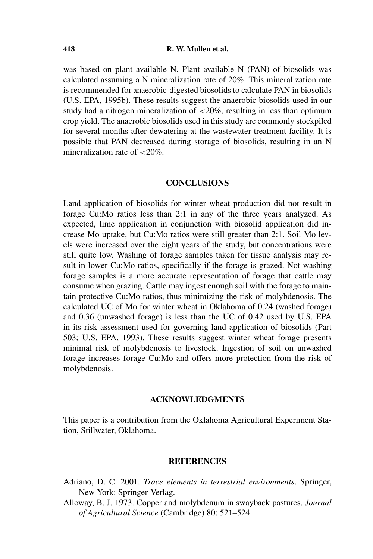was based on plant available N. Plant available N (PAN) of biosolids was calculated assuming a N mineralization rate of  $20\%$ . This mineralization rate is recommended for anaerobic-digested biosolids to calculate PAN in biosolids (U.S. EPA, 1995b). These results suggest the anaerobic biosolids used in our study had a nitrogen mineralization of <20%, resulting in less than optimum crop yield. The anaerobic biosolids used in this study are commonly stockpiled for several months after dewatering at the wastewater treatment facility. It is possible that PAN decreased during storage of biosolids, resulting in an N mineralization rate of  $\langle 20\% \rangle$ .

## **CONCLUSIONS**

Land application of biosolids for winter wheat production did not result in forage Cu:Mo ratios less than 2:1 in any of the three years analyzed. As expected, lime application in conjunction with biosolid application did increase Mo uptake, but Cu:Mo ratios were still greater than 2:1. Soil Mo levels were increased over the eight years of the study, but concentrations were still quite low. Washing of forage samples taken for tissue analysis may result in lower Cu:Mo ratios, specifically if the forage is grazed. Not washing forage samples is a more accurate representation of forage that cattle may consume when grazing. Cattle may ingest enough soil with the forage to maintain protective Cu:Mo ratios, thus minimizing the risk of molybdenosis. The calculated UC of Mo for winter wheat in Oklahoma of 0.24 (washed forage) and 0.36 (unwashed forage) is less than the UC of 0.42 used by U.S. EPA in its risk assessment used for governing land application of biosolids (Part 503; U.S. EPA, 1993). These results suggest winter wheat forage presents minimal risk of molybdenosis to livestock. Ingestion of soil on unwashed forage increases forage Cu:Mo and offers more protection from the risk of molybdenosis.

## **ACKNOWLEDGMENTS**

This paper is a contribution from the Oklahoma Agricultural Experiment Station, Stillwater, Oklahoma.

## **REFERENCES**

- Adriano, D. C. 2001. *Trace elements in terrestrial environments*. Springer, New York: Springer-Verlag.
- Alloway, B. J. 1973. Copper and molybdenum in swayback pastures. *Journal of Agricultural Science* (Cambridge) 80: 521–524.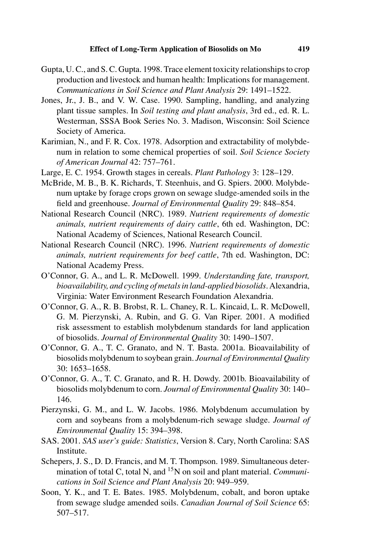- Gupta, U. C., and S. C. Gupta. 1998. Trace element toxicity relationships to crop production and livestock and human health: Implications for management. *Communications in Soil Science and Plant Analysis* 29: 1491–1522.
- Jones, Jr., J. B., and V. W. Case. 1990. Sampling, handling, and analyzing plant tissue samples. In *Soil testing and plant analysis*, 3rd ed., ed. R. L. Westerman, SSSA Book Series No. 3. Madison, Wisconsin: Soil Science Society of America.
- Karimian, N., and F. R. Cox. 1978. Adsorption and extractability of molybdenum in relation to some chemical properties of soil. *Soil Science Society of American Journal* 42: 757–761.
- Large, E. C. 1954. Growth stages in cereals. *Plant Pathology* 3: 128–129.
- McBride, M. B., B. K. Richards, T. Steenhuis, and G. Spiers. 2000. Molybdenum uptake by forage crops grown on sewage sludge-amended soils in the field and greenhouse. *Journal of Environmental Quality* 29: 848–854.
- National Research Council (NRC). 1989. *Nutrient requirements of domestic animals, nutrient requirements of dairy cattle*, 6th ed. Washington, DC: National Academy of Sciences, National Research Council.
- National Research Council (NRC). 1996. *Nutrient requirements of domestic animals, nutrient requirements for beef cattle*, 7th ed. Washington, DC: National Academy Press.
- O'Connor, G. A., and L. R. McDowell. 1999. *Understanding fate, transport, bioavailability, and cycling of metals in land-applied biosolids*. Alexandria, Virginia: Water Environment Research Foundation Alexandria.
- O'Connor, G. A., R. B. Brobst, R. L. Chaney, R. L. Kincaid, L. R. McDowell, G. M. Pierzynski, A. Rubin, and G. G. Van Riper. 2001. A modified risk assessment to establish molybdenum standards for land application of biosolids. *Journal of Environmental Quality* 30: 1490–1507.
- O'Connor, G. A., T. C. Granato, and N. T. Basta. 2001a. Bioavailability of biosolids molybdenum to soybean grain. *Journal of Environmental Quality* 30: 1653–1658.
- O'Connor, G. A., T. C. Granato, and R. H. Dowdy. 2001b. Bioavailability of biosolids molybdenum to corn. *Journal of Environmental Quality* 30: 140– 146.
- Pierzynski, G. M., and L. W. Jacobs. 1986. Molybdenum accumulation by corn and soybeans from a molybdenum-rich sewage sludge. *Journal of Environmental Quality* 15: 394–398.
- SAS. 2001. *SAS user's guide: Statistics*, Version 8. Cary, North Carolina: SAS Institute.
- Schepers, J. S., D. D. Francis, and M. T. Thompson. 1989. Simultaneous determination of total C, total N, and 15N on soil and plant material. *Communications in Soil Science and Plant Analysis* 20: 949–959.
- Soon, Y. K., and T. E. Bates. 1985. Molybdenum, cobalt, and boron uptake from sewage sludge amended soils. *Canadian Journal of Soil Science* 65: 507–517.